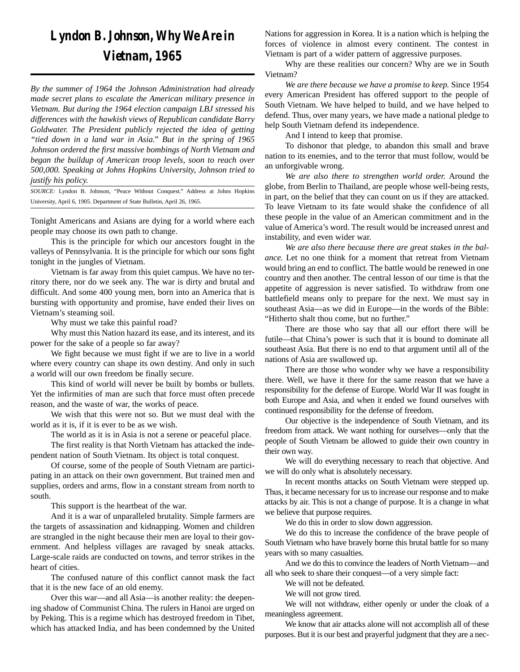## *Lyndon B. Johnson, Why We Are in Vietnam, 1965*

*By the summer of 1964 the Johnson Administration had already made secret plans to escalate the American military presence in Vietnam. But during the 1964 election campaign LBJ stressed his differences with the hawkish views of Republican candidate Barry Goldwater. The President publicly rejected the idea of getting "tied down in a land war in Asia." But in the spring of 1965 Johnson ordered the first massive bombings of North Vietnam and began the buildup of American troop levels, soon to reach over 500,000. Speaking at Johns Hopkins University, Johnson tried to justify his policy.*

*SOURCE:* Lyndon B. Johnson, "Peace Without Conquest." Address at Johns Hopkins University, April 6, 1905. Department of State Bulletin, April 26, 1965.

Tonight Americans and Asians are dying for a world where each people may choose its own path to change.

This is the principle for which our ancestors fought in the valleys of Pennsylvania. It is the principle for which our sons fight tonight in the jungles of Vietnam.

Vietnam is far away from this quiet campus. We have no territory there, nor do we seek any. The war is dirty and brutal and difficult. And some 400 young men, born into an America that is bursting with opportunity and promise, have ended their lives on Vietnam's steaming soil.

Why must we take this painful road?

Why must this Nation hazard its ease, and its interest, and its power for the sake of a people so far away?

We fight because we must fight if we are to live in a world where every country can shape its own destiny. And only in such a world will our own freedom be finally secure.

This kind of world will never be built by bombs or bullets. Yet the infirmities of man are such that force must often precede reason, and the waste of war, the works of peace.

We wish that this were not so. But we must deal with the world as it is, if it is ever to be as we wish.

The world as it is in Asia is not a serene or peaceful place.

The first reality is that North Vietnam has attacked the independent nation of South Vietnam. Its object is total conquest.

Of course, some of the people of South Vietnam are participating in an attack on their own government. But trained men and supplies, orders and arms, flow in a constant stream from north to south.

This support is the heartbeat of the war.

And it is a war of unparalleled brutality. Simple farmers are the targets of assassination and kidnapping. Women and children are strangled in the night because their men are loyal to their government. And helpless villages are ravaged by sneak attacks. Large-scale raids are conducted on towns, and terror strikes in the heart of cities.

The confused nature of this conflict cannot mask the fact that it is the new face of an old enemy.

Over this war—and all Asia—is another reality: the deepening shadow of Communist China. The rulers in Hanoi are urged on by Peking. This is a regime which has destroyed freedom in Tibet, which has attacked India, and has been condemned by the United

Nations for aggression in Korea. It is a nation which is helping the forces of violence in almost every continent. The contest in Vietnam is part of a wider pattern of aggressive purposes.

Why are these realities our concern? Why are we in South Vietnam?

*We are there because we have a promise to keep.* Since 1954 every American President has offered support to the people of South Vietnam. We have helped to build, and we have helped to defend. Thus, over many years, we have made a national pledge to help South Vietnam defend its independence.

And I intend to keep that promise.

To dishonor that pledge, to abandon this small and brave nation to its enemies, and to the terror that must follow, would be an unforgivable wrong.

*We are also there to strengthen world order.* Around the globe, from Berlin to Thailand, are people whose well-being rests, in part, on the belief that they can count on us if they are attacked. To leave Vietnam to its fate would shake the confidence of all these people in the value of an American commitment and in the value of America's word. The result would be increased unrest and instability, and even wider war.

*We are also there because there are great stakes in the balance.* Let no one think for a moment that retreat from Vietnam would bring an end to conflict. The battle would be renewed in one country and then another. The central lesson of our time is that the appetite of aggression is never satisfied. To withdraw from one battlefield means only to prepare for the next. We must say in southeast Asia—as we did in Europe—in the words of the Bible: "Hitherto shalt thou come, but no further."

There are those who say that all our effort there will be futile—that China's power is such that it is bound to dominate all southeast Asia. But there is no end to that argument until all of the nations of Asia are swallowed up.

There are those who wonder why we have a responsibility there. Well, we have it there for the same reason that we have a responsibility for the defense of Europe. World War II was fought in both Europe and Asia, and when it ended we found ourselves with continued responsibility for the defense of freedom.

Our objective is the independence of South Vietnam, and its freedom from attack. We want nothing for ourselves—only that the people of South Vietnam be allowed to guide their own country in their own way.

We will do everything necessary to reach that objective. And we will do only what is absolutely necessary.

In recent months attacks on South Vietnam were stepped up. Thus, it became necessary for us to increase our response and to make attacks by air. This is not a change of purpose. It is a change in what we believe that purpose requires.

We do this in order to slow down aggression.

We do this to increase the confidence of the brave people of South Vietnam who have bravely borne this brutal battle for so many years with so many casualties.

And we do this to convince the leaders of North Vietnam—and all who seek to share their conquest—of a very simple fact:

We will not be defeated.

We will not grow tired.

We will not withdraw, either openly or under the cloak of a meaningless agreement.

We know that air attacks alone will not accomplish all of these purposes. But it is our best and prayerful judgment that they are a nec